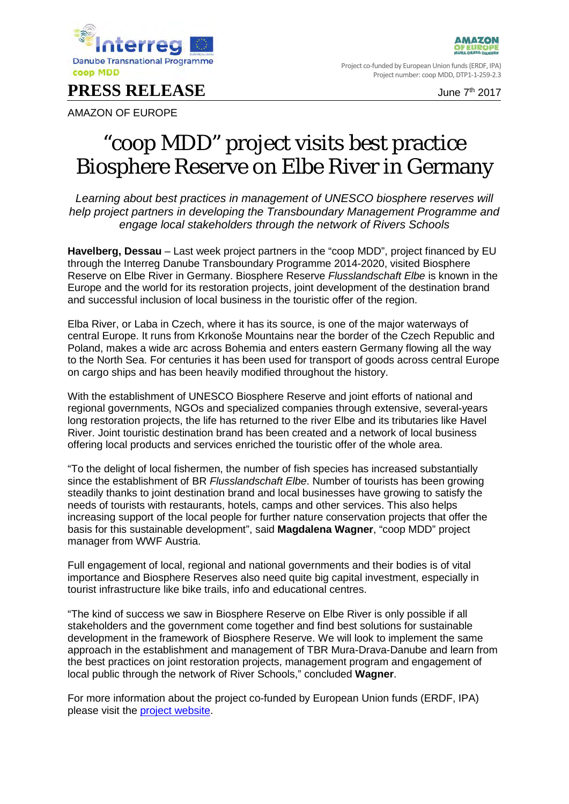

**PRESS RELEASE** June 7<sup>th</sup> 2017

**AMAZON** OF EUROPI

Project co-funded by European Union funds (ERDF, IPA) Project number: coop MDD, DTP1-1-259-2.3

AMAZON OF EUROPE

## "coop MDD" project visits best practice Biosphere Reserve on Elbe River in Germany

*Learning about best practices in management of UNESCO biosphere reserves will help project partners in developing the Transboundary Management Programme and engage local stakeholders through the network of Rivers Schools*

**Havelberg, Dessau** – Last week project partners in the "coop MDD", project financed by EU through the Interreg Danube Transboundary Programme 2014-2020, visited Biosphere Reserve on Elbe River in Germany. Biosphere Reserve *Flusslandschaft Elbe* is known in the Europe and the world for its restoration projects, joint development of the destination brand and successful inclusion of local business in the touristic offer of the region.

Elba River, or Laba in Czech, where it has its source, is one of the major waterways of central Europe. It runs from Krkonoše Mountains near the border of the Czech Republic and Poland, makes a wide arc across Bohemia and enters eastern Germany flowing all the way to the North Sea. For centuries it has been used for transport of goods across central Europe on cargo ships and has been heavily modified throughout the history.

With the establishment of UNESCO Biosphere Reserve and joint efforts of national and regional governments, NGOs and specialized companies through extensive, several-years long restoration projects, the life has returned to the river Elbe and its tributaries like Havel River. Joint touristic destination brand has been created and a network of local business offering local products and services enriched the touristic offer of the whole area.

"To the delight of local fishermen, the number of fish species has increased substantially since the establishment of BR *Flusslandschaft Elbe*. Number of tourists has been growing steadily thanks to joint destination brand and local businesses have growing to satisfy the needs of tourists with restaurants, hotels, camps and other services. This also helps increasing support of the local people for further nature conservation projects that offer the basis for this sustainable development", said **Magdalena Wagner**, "coop MDD" project manager from WWF Austria.

Full engagement of local, regional and national governments and their bodies is of vital importance and Biosphere Reserves also need quite big capital investment, especially in tourist infrastructure like bike trails, info and educational centres.

"The kind of success we saw in Biosphere Reserve on Elbe River is only possible if all stakeholders and the government come together and find best solutions for sustainable development in the framework of Biosphere Reserve. We will look to implement the same approach in the establishment and management of TBR Mura-Drava-Danube and learn from the best practices on joint restoration projects, management program and engagement of local public through the network of River Schools," concluded **Wagner**.

For more information about the project co-funded by European Union funds (ERDF, IPA) please visit the [project website.](http://www.interreg-danube.eu/approved-projects/coop-mdd)